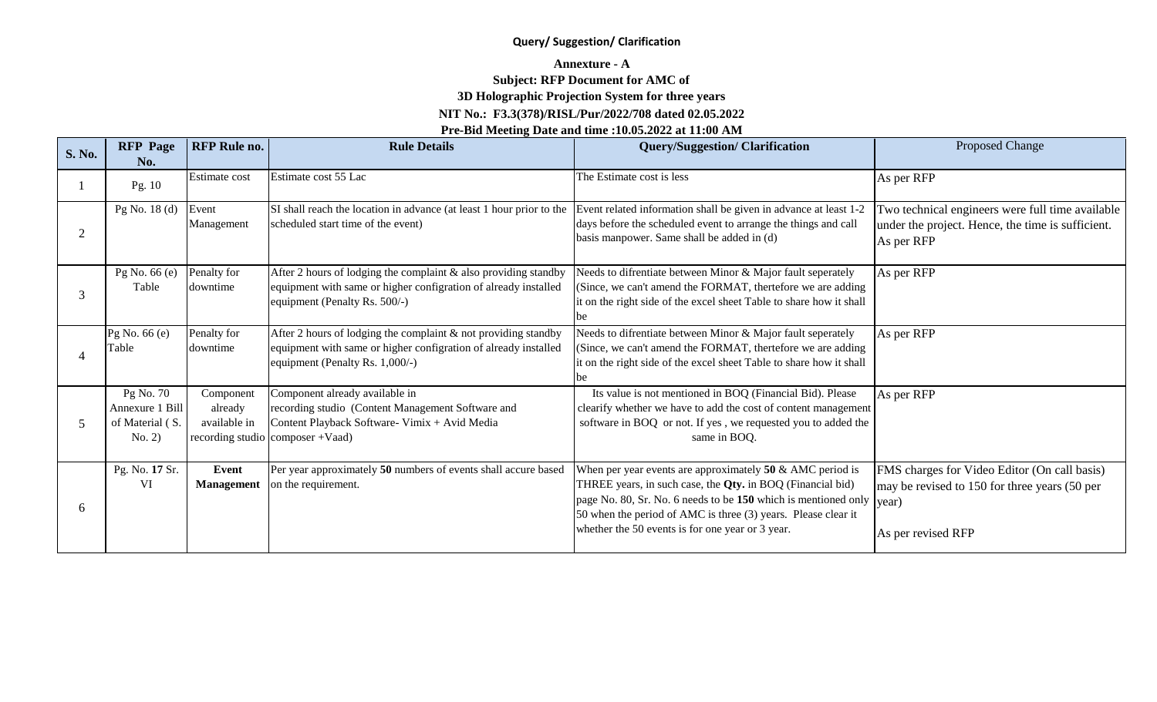#### **Query/ Suggestion/ Clarification**

## **Annexture - A**

### **Subject: RFP Document for AMC of**

# **3D Holographic Projection System for three years**

### **NIT No.: F3.3(378)/RISL/Pur/2022/708 dated 02.05.2022**

## **Pre-Bid Meeting Date and time :10.05.2022 at 11:00 AM**

| S. No.         | <b>RFP</b> Page<br>No.                                    | <b>RFP Rule no.</b>                  | <b>Rule Details</b>                                                                                                                                                     | <b>Query/Suggestion/Clarification</b>                                                                                                                                                                                                                                                                                            | Proposed Change                                                                                                     |
|----------------|-----------------------------------------------------------|--------------------------------------|-------------------------------------------------------------------------------------------------------------------------------------------------------------------------|----------------------------------------------------------------------------------------------------------------------------------------------------------------------------------------------------------------------------------------------------------------------------------------------------------------------------------|---------------------------------------------------------------------------------------------------------------------|
|                | Pg. 10                                                    | Estimate cost                        | Estimate cost 55 Lac                                                                                                                                                    | The Estimate cost is less                                                                                                                                                                                                                                                                                                        | As per RFP                                                                                                          |
| $\overline{2}$ | Pg No. $18(d)$                                            | Event<br>Management                  | SI shall reach the location in advance (at least 1 hour prior to the<br>scheduled start time of the event)                                                              | Event related information shall be given in advance at least 1-2<br>days before the scheduled event to arrange the things and call<br>basis manpower. Same shall be added in (d)                                                                                                                                                 | Two technical engineers were full time available<br>under the project. Hence, the time is sufficient.<br>As per RFP |
| 3              | Pg No. 66 (e)<br>Table                                    | Penalty for<br>downtime              | After 2 hours of lodging the complaint & also providing standby<br>equipment with same or higher configration of already installed<br>equipment (Penalty Rs. 500/-)     | Needs to difrentiate between Minor & Major fault seperately<br>(Since, we can't amend the FORMAT, thertefore we are adding<br>it on the right side of the excel sheet Table to share how it shall                                                                                                                                | As per RFP                                                                                                          |
|                | Pg No. 66 (e)<br>Table                                    | Penalty for<br>downtime              | After 2 hours of lodging the complaint & not providing standby<br>equipment with same or higher configration of already installed<br>equipment (Penalty Rs. 1,000/-)    | Needs to difrentiate between Minor & Major fault seperately<br>(Since, we can't amend the FORMAT, thertefore we are adding<br>it on the right side of the excel sheet Table to share how it shall                                                                                                                                | As per RFP                                                                                                          |
|                | Pg No. 70<br>Annexure 1 Bill<br>of Material (S.<br>No. 2) | Component<br>already<br>available in | Component already available in<br>recording studio (Content Management Software and<br>Content Playback Software-Vimix + Avid Media<br>recording studio composer +Vaad) | Its value is not mentioned in BOQ (Financial Bid). Please<br>clearify whether we have to add the cost of content management<br>software in BOQ or not. If yes, we requested you to added the<br>same in BOQ.                                                                                                                     | As per RFP                                                                                                          |
| 6              | Pg. No. 17 Sr.<br>VI                                      | Event<br><b>Management</b>           | Per year approximately 50 numbers of events shall accure based<br>on the requirement.                                                                                   | When per year events are approximately $50 \&$ AMC period is<br>THREE years, in such case, the Qty. in BOQ (Financial bid)<br>page No. 80, Sr. No. 6 needs to be 150 which is mentioned only $ year\rangle$<br>50 when the period of AMC is three (3) years. Please clear it<br>whether the 50 events is for one year or 3 year. | FMS charges for Video Editor (On call basis)<br>may be revised to 150 for three years (50 per<br>As per revised RFP |